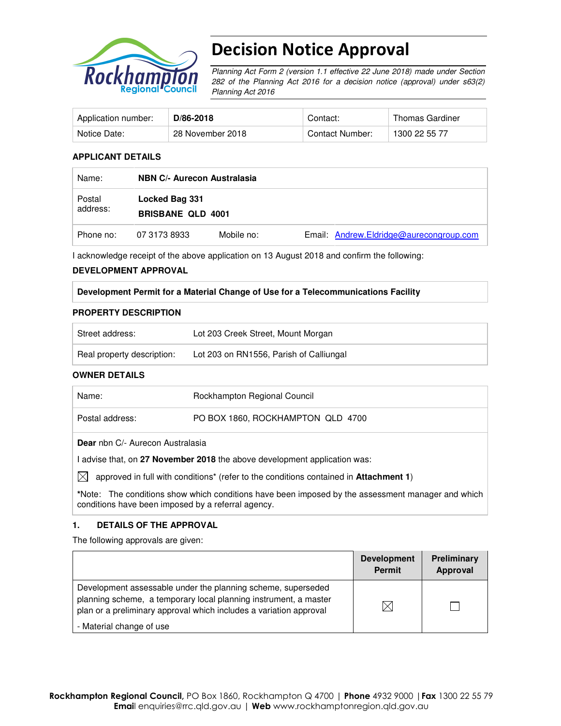

# Decision Notice Approval

Planning Act Form 2 (version 1.1 effective 22 June 2018) made under Section 282 of the Planning Act 2016 for a decision notice (approval) under s63(2) Planning Act 2016

| Application number: | D/86-2018        | Contact:        | Thomas Gardiner |
|---------------------|------------------|-----------------|-----------------|
| Notice Date:        | 28 November 2018 | Contact Number: | 1300 22 55 77   |

## **APPLICANT DETAILS**

| Name:              | <b>NBN C/- Aurecon Australasia</b>         |            |                                         |  |  |
|--------------------|--------------------------------------------|------------|-----------------------------------------|--|--|
| Postal<br>address: | Locked Bag 331<br><b>BRISBANE QLD 4001</b> |            |                                         |  |  |
| Phone no:          | 07 3173 8933                               | Mobile no: | Email: Andrew.Eldridge@aurecongroup.com |  |  |

I acknowledge receipt of the above application on 13 August 2018 and confirm the following:

#### **DEVELOPMENT APPROVAL**

## **Development Permit for a Material Change of Use for a Telecommunications Facility**

#### **PROPERTY DESCRIPTION**

| Street address:            | Lot 203 Creek Street, Mount Morgan      |
|----------------------------|-----------------------------------------|
| Real property description: | Lot 203 on RN1556, Parish of Calliungal |

## **OWNER DETAILS**

| Name:                                                                                                | Rockhampton Regional Council      |  |  |  |
|------------------------------------------------------------------------------------------------------|-----------------------------------|--|--|--|
| Postal address:                                                                                      | PO BOX 1860, ROCKHAMPTON QLD 4700 |  |  |  |
| <b>Dear</b> nbn C/- Aurecon Australasia                                                              |                                   |  |  |  |
| I advise that, on 27 November 2018 the above development application was:                            |                                   |  |  |  |
| $\boxtimes$<br>approved in full with conditions* (refer to the conditions contained in Attachment 1) |                                   |  |  |  |

**\***Note:The conditions show which conditions have been imposed by the assessment manager and which conditions have been imposed by a referral agency.

## **1. DETAILS OF THE APPROVAL**

The following approvals are given:

|                                                                                                                                                                                                        | <b>Development</b><br><b>Permit</b> | Preliminary<br>Approval |
|--------------------------------------------------------------------------------------------------------------------------------------------------------------------------------------------------------|-------------------------------------|-------------------------|
| Development assessable under the planning scheme, superseded<br>planning scheme, a temporary local planning instrument, a master<br>plan or a preliminary approval which includes a variation approval | $\boxtimes$                         |                         |
| - Material change of use                                                                                                                                                                               |                                     |                         |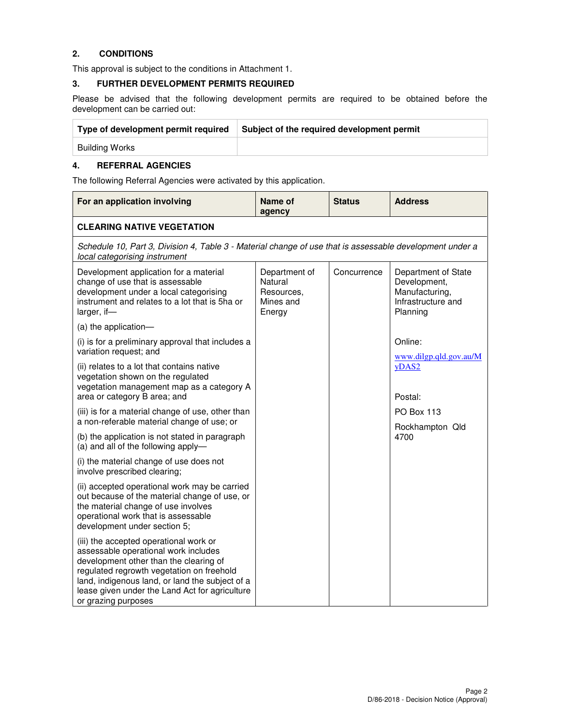## **2. CONDITIONS**

This approval is subject to the conditions in Attachment 1.

### **3. FURTHER DEVELOPMENT PERMITS REQUIRED**

Please be advised that the following development permits are required to be obtained before the development can be carried out:

| Type of development permit required | Subject of the required development permit |
|-------------------------------------|--------------------------------------------|
| Building Works                      |                                            |

### **4. REFERRAL AGENCIES**

The following Referral Agencies were activated by this application.

| For an application involving                                                                                                                                                                                                                                                                      | Name of<br>agency                                             | <b>Status</b> | <b>Address</b>                                                                          |  |  |  |  |
|---------------------------------------------------------------------------------------------------------------------------------------------------------------------------------------------------------------------------------------------------------------------------------------------------|---------------------------------------------------------------|---------------|-----------------------------------------------------------------------------------------|--|--|--|--|
| <b>CLEARING NATIVE VEGETATION</b>                                                                                                                                                                                                                                                                 |                                                               |               |                                                                                         |  |  |  |  |
| Schedule 10, Part 3, Division 4, Table 3 - Material change of use that is assessable development under a<br>local categorising instrument                                                                                                                                                         |                                                               |               |                                                                                         |  |  |  |  |
| Development application for a material<br>change of use that is assessable<br>development under a local categorising<br>instrument and relates to a lot that is 5ha or<br>larger, if-                                                                                                             | Department of<br>Natural<br>Resources,<br>Mines and<br>Energy | Concurrence   | Department of State<br>Development,<br>Manufacturing,<br>Infrastructure and<br>Planning |  |  |  |  |
| (a) the application-                                                                                                                                                                                                                                                                              |                                                               |               |                                                                                         |  |  |  |  |
| (i) is for a preliminary approval that includes a<br>variation request; and                                                                                                                                                                                                                       |                                                               |               | Online:<br>www.dilgp.qld.gov.au/M                                                       |  |  |  |  |
| (ii) relates to a lot that contains native<br>vegetation shown on the regulated<br>vegetation management map as a category A<br>area or category B area; and                                                                                                                                      |                                                               |               | yDAS2<br>Postal:                                                                        |  |  |  |  |
| (iii) is for a material change of use, other than<br>a non-referable material change of use; or                                                                                                                                                                                                   |                                                               |               | <b>PO Box 113</b>                                                                       |  |  |  |  |
| (b) the application is not stated in paragraph<br>(a) and all of the following apply-                                                                                                                                                                                                             |                                                               |               | Rockhampton Qld<br>4700                                                                 |  |  |  |  |
| (i) the material change of use does not<br>involve prescribed clearing;                                                                                                                                                                                                                           |                                                               |               |                                                                                         |  |  |  |  |
| (ii) accepted operational work may be carried<br>out because of the material change of use, or<br>the material change of use involves<br>operational work that is assessable<br>development under section 5;                                                                                      |                                                               |               |                                                                                         |  |  |  |  |
| (iii) the accepted operational work or<br>assessable operational work includes<br>development other than the clearing of<br>regulated regrowth vegetation on freehold<br>land, indigenous land, or land the subject of a<br>lease given under the Land Act for agriculture<br>or grazing purposes |                                                               |               |                                                                                         |  |  |  |  |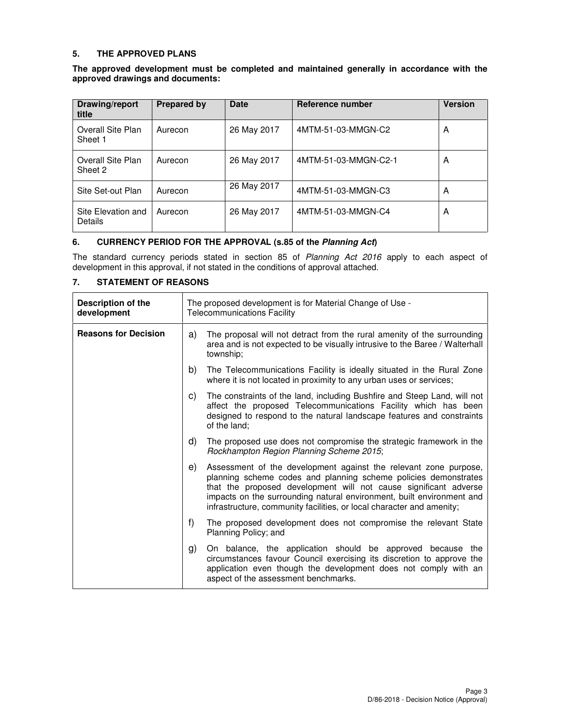### **5. THE APPROVED PLANS**

**The approved development must be completed and maintained generally in accordance with the approved drawings and documents:** 

| Drawing/report<br>title       | <b>Prepared by</b> | <b>Date</b> | Reference number     | <b>Version</b> |
|-------------------------------|--------------------|-------------|----------------------|----------------|
| Overall Site Plan<br>Sheet 1  | Aurecon            | 26 May 2017 | 4MTM-51-03-MMGN-C2   | A              |
| Overall Site Plan<br>Sheet 2  | Aurecon            | 26 May 2017 | 4MTM-51-03-MMGN-C2-1 | A              |
| Site Set-out Plan             | Aurecon            | 26 May 2017 | 4MTM-51-03-MMGN-C3   | A              |
| Site Elevation and<br>Details | Aurecon            | 26 May 2017 | 4MTM-51-03-MMGN-C4   | A              |

## **6. CURRENCY PERIOD FOR THE APPROVAL (s.85 of the Planning Act)**

The standard currency periods stated in section 85 of Planning Act 2016 apply to each aspect of development in this approval, if not stated in the conditions of approval attached.

## **7. STATEMENT OF REASONS**

| Description of the<br>development |    | The proposed development is for Material Change of Use -<br><b>Telecommunications Facility</b>                                                                                                                                                                                                                                                            |
|-----------------------------------|----|-----------------------------------------------------------------------------------------------------------------------------------------------------------------------------------------------------------------------------------------------------------------------------------------------------------------------------------------------------------|
| <b>Reasons for Decision</b>       | a) | The proposal will not detract from the rural amenity of the surrounding<br>area and is not expected to be visually intrusive to the Baree / Walterhall<br>township:                                                                                                                                                                                       |
|                                   | b) | The Telecommunications Facility is ideally situated in the Rural Zone<br>where it is not located in proximity to any urban uses or services;                                                                                                                                                                                                              |
|                                   | C) | The constraints of the land, including Bushfire and Steep Land, will not<br>affect the proposed Telecommunications Facility which has been<br>designed to respond to the natural landscape features and constraints<br>of the land;                                                                                                                       |
|                                   | d) | The proposed use does not compromise the strategic framework in the<br>Rockhampton Region Planning Scheme 2015;                                                                                                                                                                                                                                           |
|                                   | e) | Assessment of the development against the relevant zone purpose,<br>planning scheme codes and planning scheme policies demonstrates<br>that the proposed development will not cause significant adverse<br>impacts on the surrounding natural environment, built environment and<br>infrastructure, community facilities, or local character and amenity; |
|                                   | f) | The proposed development does not compromise the relevant State<br>Planning Policy; and                                                                                                                                                                                                                                                                   |
|                                   | g) | On balance, the application should be approved because the<br>circumstances favour Council exercising its discretion to approve the<br>application even though the development does not comply with an<br>aspect of the assessment benchmarks.                                                                                                            |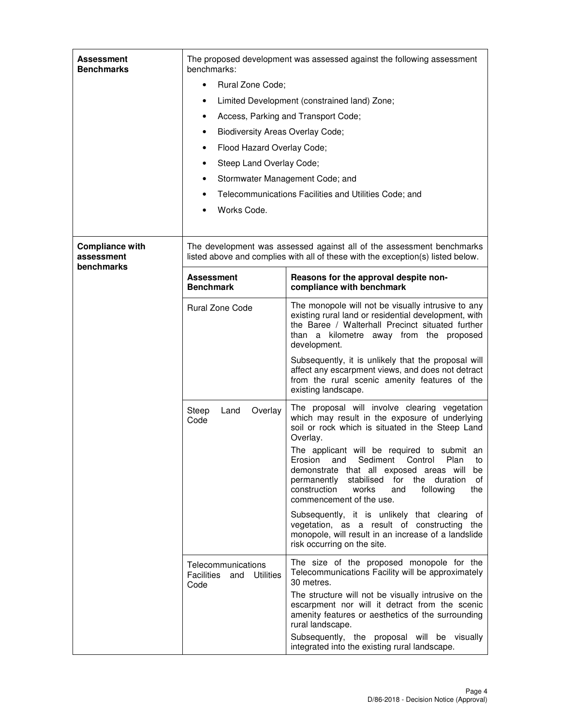| Assessment<br><b>Benchmarks</b>                    | The proposed development was assessed against the following assessment<br>benchmarks: |                                                                                                                                                                                                                                                                          |  |  |
|----------------------------------------------------|---------------------------------------------------------------------------------------|--------------------------------------------------------------------------------------------------------------------------------------------------------------------------------------------------------------------------------------------------------------------------|--|--|
|                                                    | Rural Zone Code;<br>$\bullet$                                                         |                                                                                                                                                                                                                                                                          |  |  |
|                                                    | Limited Development (constrained land) Zone;<br>$\bullet$                             |                                                                                                                                                                                                                                                                          |  |  |
|                                                    | ٠                                                                                     | Access, Parking and Transport Code;                                                                                                                                                                                                                                      |  |  |
|                                                    | <b>Biodiversity Areas Overlay Code;</b><br>$\bullet$                                  |                                                                                                                                                                                                                                                                          |  |  |
|                                                    | Flood Hazard Overlay Code;<br>٠                                                       |                                                                                                                                                                                                                                                                          |  |  |
|                                                    | Steep Land Overlay Code;<br>٠                                                         |                                                                                                                                                                                                                                                                          |  |  |
|                                                    | ٠                                                                                     | Stormwater Management Code; and                                                                                                                                                                                                                                          |  |  |
|                                                    |                                                                                       | Telecommunications Facilities and Utilities Code; and                                                                                                                                                                                                                    |  |  |
|                                                    | Works Code.                                                                           |                                                                                                                                                                                                                                                                          |  |  |
|                                                    |                                                                                       |                                                                                                                                                                                                                                                                          |  |  |
| <b>Compliance with</b><br>assessment<br>benchmarks |                                                                                       | The development was assessed against all of the assessment benchmarks<br>listed above and complies with all of these with the exception(s) listed below.                                                                                                                 |  |  |
|                                                    | <b>Assessment</b><br><b>Benchmark</b>                                                 | Reasons for the approval despite non-<br>compliance with benchmark                                                                                                                                                                                                       |  |  |
|                                                    | <b>Rural Zone Code</b>                                                                | The monopole will not be visually intrusive to any<br>existing rural land or residential development, with<br>the Baree / Walterhall Precinct situated further<br>than a kilometre away from the proposed<br>development.                                                |  |  |
|                                                    |                                                                                       | Subsequently, it is unlikely that the proposal will<br>affect any escarpment views, and does not detract<br>from the rural scenic amenity features of the<br>existing landscape.                                                                                         |  |  |
|                                                    | Steep<br>Overlay<br>Land<br>Code                                                      | The proposal will involve clearing vegetation<br>which may result in the exposure of underlying<br>soil or rock which is situated in the Steep Land<br>Overlay.                                                                                                          |  |  |
|                                                    |                                                                                       | The applicant will be required to submit an<br>Erosion and Sediment Control Plan to<br>demonstrate that all exposed areas will be<br>permanently stabilised<br>for<br>the duration<br>οf<br>construction<br>the<br>works<br>and<br>following<br>commencement of the use. |  |  |
|                                                    |                                                                                       | Subsequently, it is unlikely that clearing of<br>vegetation, as a result of constructing the<br>monopole, will result in an increase of a landslide<br>risk occurring on the site.                                                                                       |  |  |
|                                                    | Telecommunications<br><b>Utilities</b><br><b>Facilities</b><br>and<br>Code            | The size of the proposed monopole for the<br>Telecommunications Facility will be approximately<br>30 metres.                                                                                                                                                             |  |  |
|                                                    |                                                                                       | The structure will not be visually intrusive on the<br>escarpment nor will it detract from the scenic<br>amenity features or aesthetics of the surrounding<br>rural landscape.                                                                                           |  |  |
|                                                    |                                                                                       | Subsequently, the proposal will be visually<br>integrated into the existing rural landscape.                                                                                                                                                                             |  |  |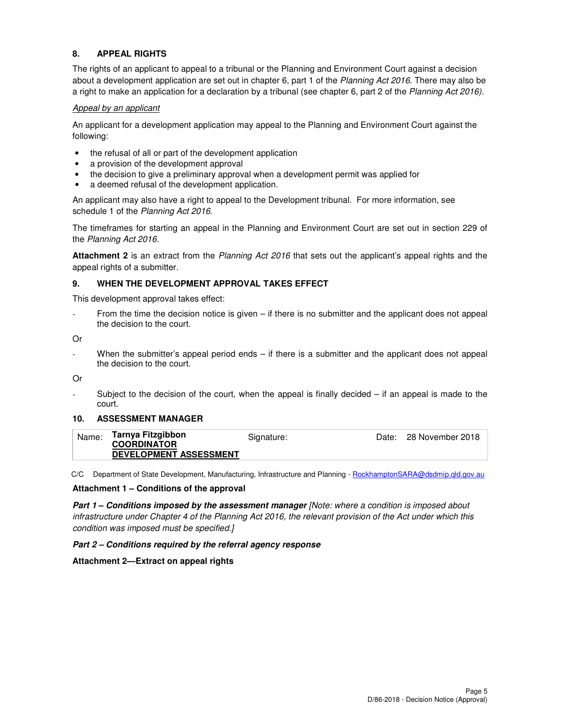## **8. APPEAL RIGHTS**

The rights of an applicant to appeal to a tribunal or the Planning and Environment Court against a decision about a development application are set out in chapter 6, part 1 of the Planning Act 2016. There may also be a right to make an application for a declaration by a tribunal (see chapter 6, part 2 of the Planning Act 2016).

### Appeal by an applicant

An applicant for a development application may appeal to the Planning and Environment Court against the following:

- the refusal of all or part of the development application
- a provision of the development approval
- the decision to give a preliminary approval when a development permit was applied for
- a deemed refusal of the development application.

An applicant may also have a right to appeal to the Development tribunal. For more information, see schedule 1 of the Planning Act 2016.

The timeframes for starting an appeal in the Planning and Environment Court are set out in section 229 of the Planning Act 2016.

**Attachment 2** is an extract from the Planning Act 2016 that sets out the applicant's appeal rights and the appeal rights of a submitter.

## **9. WHEN THE DEVELOPMENT APPROVAL TAKES EFFECT**

This development approval takes effect:

From the time the decision notice is given  $-$  if there is no submitter and the applicant does not appeal the decision to the court.

Or

When the submitter's appeal period ends – if there is a submitter and the applicant does not appeal the decision to the court.

Or

Subject to the decision of the court, when the appeal is finally decided  $-$  if an appeal is made to the court.

## **10. ASSESSMENT MANAGER**

| Name: | Tarnya Fitzgibbon             | Signature: | Date: 28 November 2018 |
|-------|-------------------------------|------------|------------------------|
|       | <b>COORDINATOR</b>            |            |                        |
|       | <b>DEVELOPMENT ASSESSMENT</b> |            |                        |

C/C Department of State Development, Manufacturing, Infrastructure and Planning - RockhamptonSARA@dsdmip.qld.gov.au

#### **Attachment 1 – Conditions of the approval**

**Part 1 – Conditions imposed by the assessment manager [Note: where a condition is imposed about** infrastructure under Chapter 4 of the Planning Act 2016, the relevant provision of the Act under which this condition was imposed must be specified.]

#### **Part 2 – Conditions required by the referral agency response**

## **Attachment 2—Extract on appeal rights**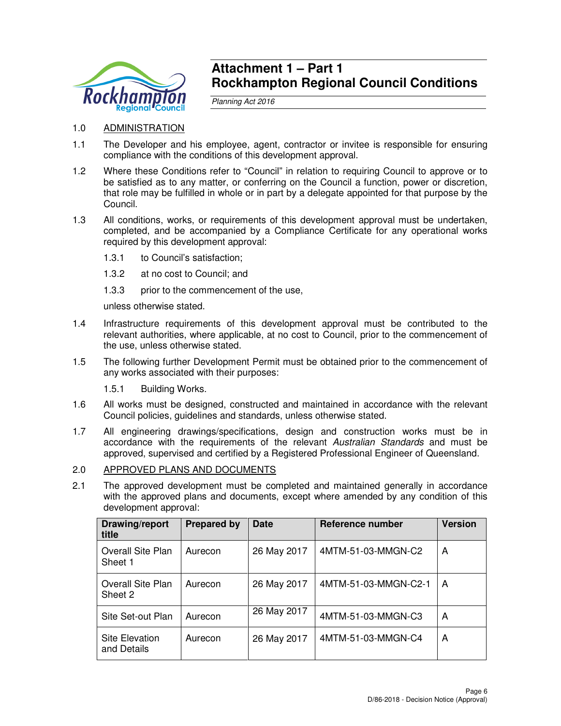

## **Attachment 1 – Part 1 Rockhampton Regional Council Conditions**

Planning Act 2016

- 1.0 ADMINISTRATION
- 1.1 The Developer and his employee, agent, contractor or invitee is responsible for ensuring compliance with the conditions of this development approval.
- 1.2 Where these Conditions refer to "Council" in relation to requiring Council to approve or to be satisfied as to any matter, or conferring on the Council a function, power or discretion, that role may be fulfilled in whole or in part by a delegate appointed for that purpose by the Council.
- 1.3 All conditions, works, or requirements of this development approval must be undertaken, completed, and be accompanied by a Compliance Certificate for any operational works required by this development approval:
	- 1.3.1 to Council's satisfaction;
	- 1.3.2 at no cost to Council; and
	- 1.3.3 prior to the commencement of the use,

unless otherwise stated.

- 1.4 Infrastructure requirements of this development approval must be contributed to the relevant authorities, where applicable, at no cost to Council, prior to the commencement of the use, unless otherwise stated.
- 1.5 The following further Development Permit must be obtained prior to the commencement of any works associated with their purposes:
	- 1.5.1 Building Works.
- 1.6 All works must be designed, constructed and maintained in accordance with the relevant Council policies, guidelines and standards, unless otherwise stated.
- 1.7 All engineering drawings/specifications, design and construction works must be in accordance with the requirements of the relevant Australian Standards and must be approved, supervised and certified by a Registered Professional Engineer of Queensland.
- 2.0 APPROVED PLANS AND DOCUMENTS
- 2.1 The approved development must be completed and maintained generally in accordance with the approved plans and documents, except where amended by any condition of this development approval:

| Drawing/report<br>title       | <b>Prepared by</b> | <b>Date</b> | Reference number     | <b>Version</b> |
|-------------------------------|--------------------|-------------|----------------------|----------------|
| Overall Site Plan<br>Sheet 1  | Aurecon            | 26 May 2017 | 4MTM-51-03-MMGN-C2   | A              |
| Overall Site Plan<br>Sheet 2  | Aurecon            | 26 May 2017 | 4MTM-51-03-MMGN-C2-1 | A              |
| Site Set-out Plan             | Aurecon            | 26 May 2017 | 4MTM-51-03-MMGN-C3   | A              |
| Site Elevation<br>and Details | Aurecon            | 26 May 2017 | 4MTM-51-03-MMGN-C4   | A              |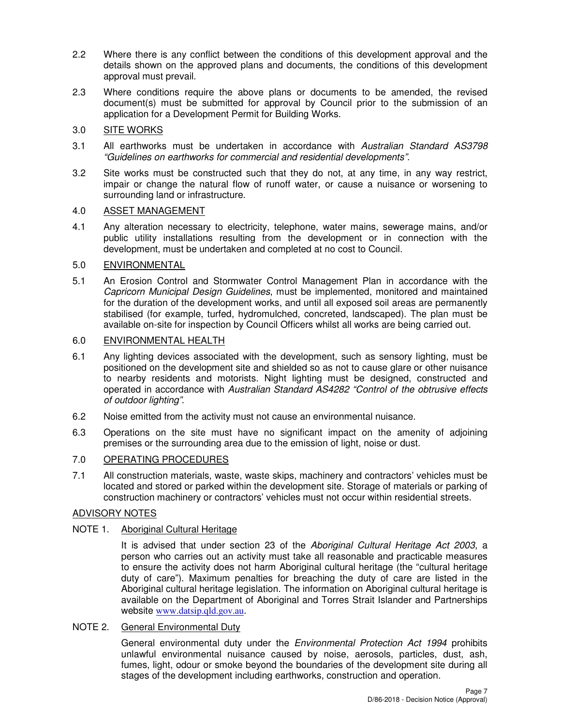- 2.2 Where there is any conflict between the conditions of this development approval and the details shown on the approved plans and documents, the conditions of this development approval must prevail.
- 2.3 Where conditions require the above plans or documents to be amended, the revised document(s) must be submitted for approval by Council prior to the submission of an application for a Development Permit for Building Works.

## 3.0 SITE WORKS

- 3.1 All earthworks must be undertaken in accordance with Australian Standard AS3798 "Guidelines on earthworks for commercial and residential developments".
- 3.2 Site works must be constructed such that they do not, at any time, in any way restrict, impair or change the natural flow of runoff water, or cause a nuisance or worsening to surrounding land or infrastructure.

## 4.0 ASSET MANAGEMENT

4.1 Any alteration necessary to electricity, telephone, water mains, sewerage mains, and/or public utility installations resulting from the development or in connection with the development, must be undertaken and completed at no cost to Council.

## 5.0 ENVIRONMENTAL

5.1 An Erosion Control and Stormwater Control Management Plan in accordance with the Capricorn Municipal Design Guidelines, must be implemented, monitored and maintained for the duration of the development works, and until all exposed soil areas are permanently stabilised (for example, turfed, hydromulched, concreted, landscaped). The plan must be available on-site for inspection by Council Officers whilst all works are being carried out.

## 6.0 ENVIRONMENTAL HEALTH

- 6.1 Any lighting devices associated with the development, such as sensory lighting, must be positioned on the development site and shielded so as not to cause glare or other nuisance to nearby residents and motorists. Night lighting must be designed, constructed and operated in accordance with Australian Standard AS4282 "Control of the obtrusive effects of outdoor lighting".
- 6.2 Noise emitted from the activity must not cause an environmental nuisance.
- 6.3 Operations on the site must have no significant impact on the amenity of adjoining premises or the surrounding area due to the emission of light, noise or dust.

## 7.0 OPERATING PROCEDURES

7.1 All construction materials, waste, waste skips, machinery and contractors' vehicles must be located and stored or parked within the development site. Storage of materials or parking of construction machinery or contractors' vehicles must not occur within residential streets.

## ADVISORY NOTES

## NOTE 1. Aboriginal Cultural Heritage

It is advised that under section 23 of the Aboriginal Cultural Heritage Act 2003, a person who carries out an activity must take all reasonable and practicable measures to ensure the activity does not harm Aboriginal cultural heritage (the "cultural heritage duty of care"). Maximum penalties for breaching the duty of care are listed in the Aboriginal cultural heritage legislation. The information on Aboriginal cultural heritage is available on the Department of Aboriginal and Torres Strait Islander and Partnerships website www.datsip.qld.gov.au.

## NOTE 2. General Environmental Duty

General environmental duty under the *Environmental Protection Act 1994* prohibits unlawful environmental nuisance caused by noise, aerosols, particles, dust, ash, fumes, light, odour or smoke beyond the boundaries of the development site during all stages of the development including earthworks, construction and operation.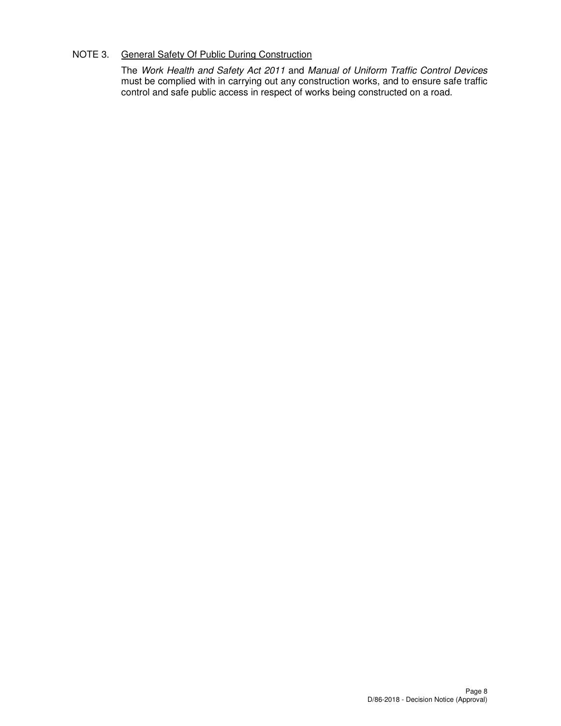## NOTE 3. General Safety Of Public During Construction

The Work Health and Safety Act 2011 and Manual of Uniform Traffic Control Devices must be complied with in carrying out any construction works, and to ensure safe traffic control and safe public access in respect of works being constructed on a road.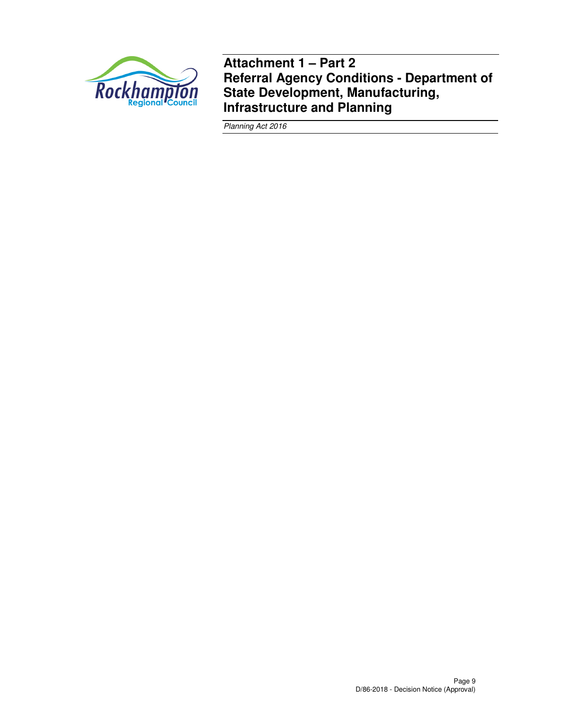

**Attachment 1 – Part 2 Referral Agency Conditions - Department of State Development, Manufacturing, Infrastructure and Planning** 

Planning Act 2016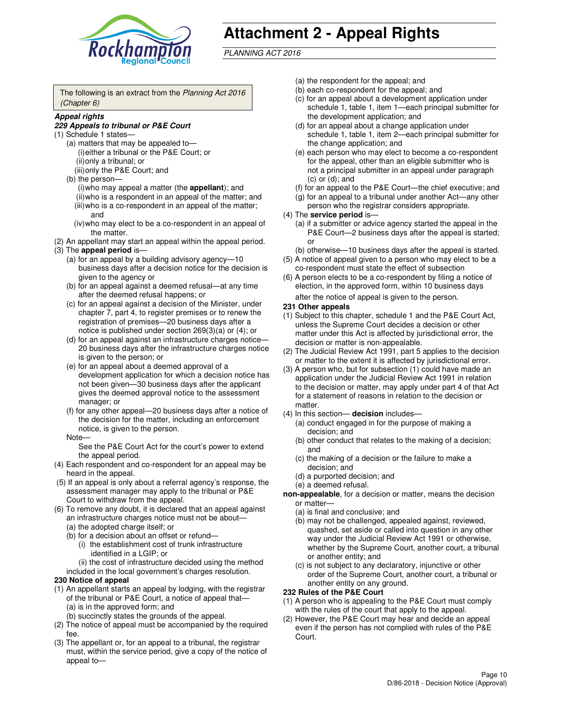

# **Attachment 2 - Appeal Rights**

PLANNING ACT 2016

The following is an extract from the Planning Act 2016 (Chapter 6)

#### **Appeal rights**

#### **229 Appeals to tribunal or P&E Court**

- (1) Schedule 1 states—
	- (a) matters that may be appealed to— (i) either a tribunal or the P&E Court; or (ii) only a tribunal; or (iii) only the P&E Court; and
	- (b) the person—
		- (i) who may appeal a matter (the **appellant**); and
		- (ii) who is a respondent in an appeal of the matter; and (iii) who is a co-respondent in an appeal of the matter;
		- and (iv) who may elect to be a co-respondent in an appeal of the matter.
- (2) An appellant may start an appeal within the appeal period.
- (3) The **appeal period** is—
	- (a) for an appeal by a building advisory agency—10 business days after a decision notice for the decision is given to the agency or
	- (b) for an appeal against a deemed refusal—at any time after the deemed refusal happens; or
	- (c) for an appeal against a decision of the Minister, under chapter 7, part 4, to register premises or to renew the registration of premises—20 business days after a notice is published under section 269(3)(a) or (4); or
	- (d) for an appeal against an infrastructure charges notice— 20 business days after the infrastructure charges notice is given to the person; or
	- (e) for an appeal about a deemed approval of a development application for which a decision notice has not been given—30 business days after the applicant gives the deemed approval notice to the assessment manager; or
	- (f) for any other appeal—20 business days after a notice of the decision for the matter, including an enforcement notice, is given to the person.
	- Note—

See the P&E Court Act for the court's power to extend the appeal period.

- (4) Each respondent and co-respondent for an appeal may be heard in the appeal.
- (5) If an appeal is only about a referral agency's response, the assessment manager may apply to the tribunal or P&E Court to withdraw from the appeal.
- (6) To remove any doubt, it is declared that an appeal against an infrastructure charges notice must not be about—
	- (a) the adopted charge itself; or
	- (b) for a decision about an offset or refund—
		- (i) the establishment cost of trunk infrastructure identified in a LGIP; or
		- (ii) the cost of infrastructure decided using the method
- included in the local government's charges resolution. **230 Notice of appeal**
- (1) An appellant starts an appeal by lodging, with the registrar of the tribunal or P&E Court, a notice of appeal that—
	- (a) is in the approved form; and
	- (b) succinctly states the grounds of the appeal.
- (2) The notice of appeal must be accompanied by the required fee.
- (3) The appellant or, for an appeal to a tribunal, the registrar must, within the service period, give a copy of the notice of appeal to—
- (a) the respondent for the appeal; and
- (b) each co-respondent for the appeal; and
- (c) for an appeal about a development application under schedule 1, table 1, item 1—each principal submitter for the development application; and
- (d) for an appeal about a change application under schedule 1, table 1, item 2—each principal submitter for the change application; and
- (e) each person who may elect to become a co-respondent for the appeal, other than an eligible submitter who is not a principal submitter in an appeal under paragraph  $(c)$  or  $(d)$ ; and
- (f) for an appeal to the P&E Court—the chief executive; and
- (g) for an appeal to a tribunal under another Act—any other person who the registrar considers appropriate.
- (4) The **service period** is—
	- (a) if a submitter or advice agency started the appeal in the P&E Court—2 business days after the appeal is started; or
	- (b) otherwise—10 business days after the appeal is started.
- (5) A notice of appeal given to a person who may elect to be a co-respondent must state the effect of subsection
- (6) A person elects to be a co-respondent by filing a notice of election, in the approved form, within 10 business days after the notice of appeal is given to the person*.*
- **231 Other appeals**
- (1) Subject to this chapter, schedule 1 and the P&E Court Act, unless the Supreme Court decides a decision or other matter under this Act is affected by jurisdictional error, the decision or matter is non-appealable.
- (2) The Judicial Review Act 1991, part 5 applies to the decision or matter to the extent it is affected by jurisdictional error.
- (3) A person who, but for subsection (1) could have made an application under the Judicial Review Act 1991 in relation to the decision or matter, may apply under part 4 of that Act for a statement of reasons in relation to the decision or matter.
- (4) In this section— **decision** includes—
	- (a) conduct engaged in for the purpose of making a decision; and
	- (b) other conduct that relates to the making of a decision; and
	- (c) the making of a decision or the failure to make a decision; and
	- (d) a purported decision; and
	- (e) a deemed refusal.

**non-appealable**, for a decision or matter, means the decision or matter—

- (a) is final and conclusive; and
- (b) may not be challenged, appealed against, reviewed, quashed, set aside or called into question in any other way under the Judicial Review Act 1991 or otherwise, whether by the Supreme Court, another court, a tribunal or another entity; and
- (c) is not subject to any declaratory, injunctive or other order of the Supreme Court, another court, a tribunal or another entity on any ground.

#### **232 Rules of the P&E Court**

- (1) A person who is appealing to the P&E Court must comply with the rules of the court that apply to the appeal.
- (2) However, the P&E Court may hear and decide an appeal even if the person has not complied with rules of the P&E Court.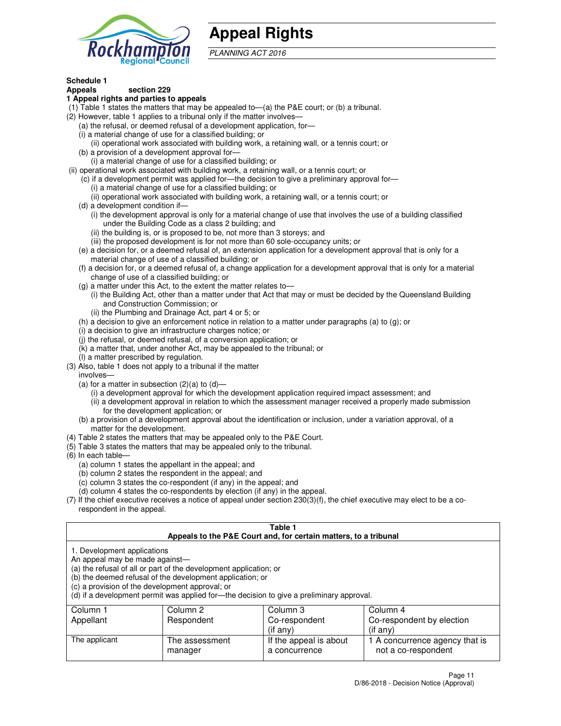

## **Appeal Rights**

PLANNING ACT 2016

## **Schedule 1**

## **Appeals section 229**

#### **1 Appeal rights and parties to appeals**

- (1) Table 1 states the matters that may be appealed to—(a) the P&E court; or (b) a tribunal.
- (2) However, table 1 applies to a tribunal only if the matter involves—
	- (a) the refusal, or deemed refusal of a development application, for—
	- (i) a material change of use for a classified building; or
	- (ii) operational work associated with building work, a retaining wall, or a tennis court; or
	- (b) a provision of a development approval for—
	- (i) a material change of use for a classified building; or
- (ii) operational work associated with building work, a retaining wall, or a tennis court; or
	- (c) if a development permit was applied for—the decision to give a preliminary approval for—
		- (i) a material change of use for a classified building; or
		- (ii) operational work associated with building work, a retaining wall, or a tennis court; or
	- (d) a development condition if—
		- (i) the development approval is only for a material change of use that involves the use of a building classified under the Building Code as a class 2 building; and
		- (ii) the building is, or is proposed to be, not more than 3 storeys; and
		- (iii) the proposed development is for not more than 60 sole-occupancy units; or
	- (e) a decision for, or a deemed refusal of, an extension application for a development approval that is only for a material change of use of a classified building; or
	- (f) a decision for, or a deemed refusal of, a change application for a development approval that is only for a material change of use of a classified building; or
	- (g) a matter under this Act, to the extent the matter relates to—
		- (i) the Building Act, other than a matter under that Act that may or must be decided by the Queensland Building and Construction Commission; or
		- (ii) the Plumbing and Drainage Act, part 4 or 5; or
	- (h) a decision to give an enforcement notice in relation to a matter under paragraphs (a) to (g); or
	- (i) a decision to give an infrastructure charges notice; or
	- (j) the refusal, or deemed refusal, of a conversion application; or
	- (k) a matter that, under another Act, may be appealed to the tribunal; or
	- (l) a matter prescribed by regulation.
- (3) Also, table 1 does not apply to a tribunal if the matter
	- involves—
	- (a) for a matter in subsection  $(2)(a)$  to  $(d)$ 
		- (i) a development approval for which the development application required impact assessment; and
		- (ii) a development approval in relation to which the assessment manager received a properly made submission for the development application; or
	- (b) a provision of a development approval about the identification or inclusion, under a variation approval, of a matter for the development.
- (4) Table 2 states the matters that may be appealed only to the P&E Court.
- (5) Table 3 states the matters that may be appealed only to the tribunal.
- (6) In each table—
	- (a) column 1 states the appellant in the appeal; and
	- (b) column 2 states the respondent in the appeal; and
	- (c) column 3 states the co-respondent (if any) in the appeal; and
	- (d) column 4 states the co-respondents by election (if any) in the appeal.
- $(7)$  If the chief executive receives a notice of appeal under section  $230(3)(f)$ , the chief executive may elect to be a corespondent in the appeal.

| Table 1<br>Appeals to the P&E Court and, for certain matters, to a tribunal                                      |                                                                                                                                |                                                                                          |                                                       |  |
|------------------------------------------------------------------------------------------------------------------|--------------------------------------------------------------------------------------------------------------------------------|------------------------------------------------------------------------------------------|-------------------------------------------------------|--|
| 1. Development applications<br>An appeal may be made against-<br>(c) a provision of the development approval; or | (a) the refusal of all or part of the development application; or<br>(b) the deemed refusal of the development application; or | (d) if a development permit was applied for-the decision to give a preliminary approval. |                                                       |  |
| Column 1                                                                                                         | Column 2                                                                                                                       | Column 3                                                                                 | Column 4                                              |  |
| Appellant                                                                                                        | Respondent                                                                                                                     | Co-respondent                                                                            | Co-respondent by election                             |  |
| $($ if any $)$<br>$(i$ f any)                                                                                    |                                                                                                                                |                                                                                          |                                                       |  |
| The applicant                                                                                                    | The assessment<br>manager                                                                                                      | If the appeal is about<br>a concurrence                                                  | 1 A concurrence agency that is<br>not a co-respondent |  |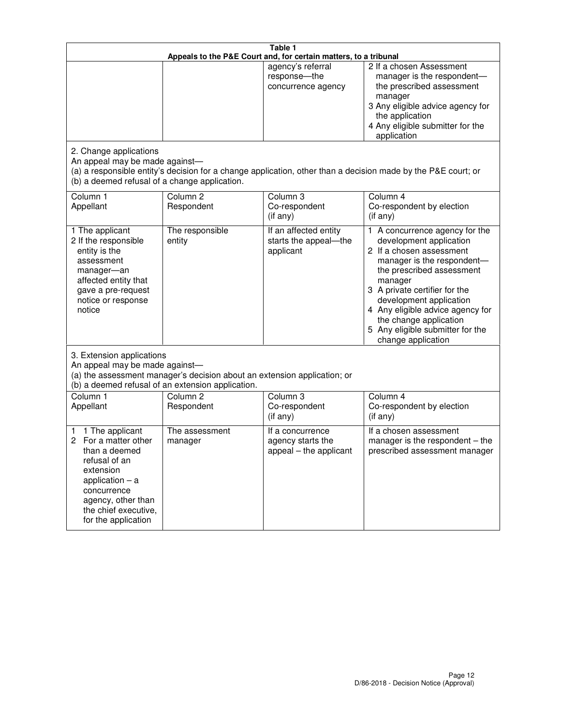| Table 1<br>Appeals to the P&E Court and, for certain matters, to a tribunal                                                                                                                             |                                                                                                                                                                                              |                                                                 |                                                                                                                                                                                                                                                                                                                                                 |  |
|---------------------------------------------------------------------------------------------------------------------------------------------------------------------------------------------------------|----------------------------------------------------------------------------------------------------------------------------------------------------------------------------------------------|-----------------------------------------------------------------|-------------------------------------------------------------------------------------------------------------------------------------------------------------------------------------------------------------------------------------------------------------------------------------------------------------------------------------------------|--|
|                                                                                                                                                                                                         |                                                                                                                                                                                              | agency's referral<br>response-the<br>concurrence agency         | 2 If a chosen Assessment<br>manager is the respondent-<br>the prescribed assessment<br>manager<br>3 Any eligible advice agency for<br>the application<br>4 Any eligible submitter for the<br>application                                                                                                                                        |  |
| 2. Change applications<br>An appeal may be made against-<br>(b) a deemed refusal of a change application.                                                                                               |                                                                                                                                                                                              |                                                                 | (a) a responsible entity's decision for a change application, other than a decision made by the P&E court; or                                                                                                                                                                                                                                   |  |
| Column 1<br>Appellant                                                                                                                                                                                   | Column <sub>2</sub><br>Respondent                                                                                                                                                            | Column <sub>3</sub><br>Co-respondent<br>(if any)                | Column 4<br>Co-respondent by election<br>(if any)                                                                                                                                                                                                                                                                                               |  |
| 1 The applicant<br>2 If the responsible<br>entity is the<br>assessment<br>manager-an<br>affected entity that<br>gave a pre-request<br>notice or response<br>notice                                      | The responsible<br>entity                                                                                                                                                                    | If an affected entity<br>starts the appeal-the<br>applicant     | 1 A concurrence agency for the<br>development application<br>2 If a chosen assessment<br>manager is the respondent-<br>the prescribed assessment<br>manager<br>3 A private certifier for the<br>development application<br>4 Any eligible advice agency for<br>the change application<br>5 Any eligible submitter for the<br>change application |  |
|                                                                                                                                                                                                         | 3. Extension applications<br>An appeal may be made against-<br>(a) the assessment manager's decision about an extension application; or<br>(b) a deemed refusal of an extension application. |                                                                 |                                                                                                                                                                                                                                                                                                                                                 |  |
| Column 1<br>Appellant                                                                                                                                                                                   | Column <sub>2</sub><br>Respondent                                                                                                                                                            | Column <sub>3</sub><br>Co-respondent<br>(if any)                | Column 4<br>Co-respondent by election<br>(if any)                                                                                                                                                                                                                                                                                               |  |
| 1 The applicant<br>1<br>For a matter other<br>2<br>than a deemed<br>refusal of an<br>extension<br>application $-$ a<br>concurrence<br>agency, other than<br>the chief executive,<br>for the application | The assessment<br>manager                                                                                                                                                                    | If a concurrence<br>agency starts the<br>appeal - the applicant | If a chosen assessment<br>manager is the respondent $-$ the<br>prescribed assessment manager                                                                                                                                                                                                                                                    |  |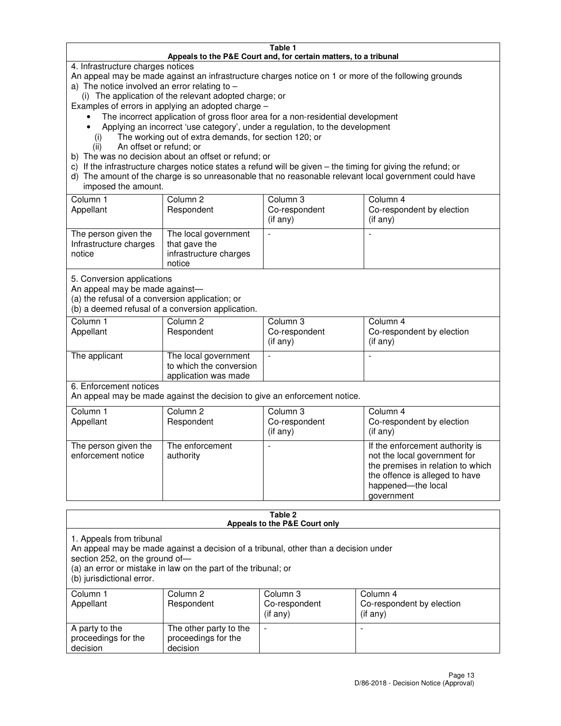#### **Table 1 Appeals to the P&E Court and, for certain matters, to a tribunal**

4. Infrastructure charges notices

An appeal may be made against an infrastructure charges notice on 1 or more of the following grounds

- a) The notice involved an error relating to
	- (i) The application of the relevant adopted charge; or
- Examples of errors in applying an adopted charge
	- The incorrect application of gross floor area for a non-residential development
	- Applying an incorrect 'use category', under a regulation, to the development
		- (i) The working out of extra demands, for section 120; or
		- (ii) An offset or refund; or
- b) The was no decision about an offset or refund; or
- c) If the infrastructure charges notice states a refund will be given the timing for giving the refund; or
- d) The amount of the charge is so unreasonable that no reasonable relevant local government could have imposed the amount.

| Column 1<br>Appellant                                    | Column 2<br>Respondent                                                    | Column 3<br>Co-respondent<br>$($ if any $)$ | Column 4<br>Co-respondent by election<br>$($ if any $)$ |
|----------------------------------------------------------|---------------------------------------------------------------------------|---------------------------------------------|---------------------------------------------------------|
| The person given the<br>Infrastructure charges<br>notice | The local government<br>that gave the<br>infrastructure charges<br>notice |                                             |                                                         |

5. Conversion applications

An appeal may be made against—

(a) the refusal of a conversion application; or

(b) a deemed refusal of a conversion application.

| Column 1<br>Appellant | Column 2<br>Respondent                                                  | Column 3<br>Co-respondent<br>$($ if any $)$ | Column 4<br>Co-respondent by election<br>$($ if any $)$ |
|-----------------------|-------------------------------------------------------------------------|---------------------------------------------|---------------------------------------------------------|
| The applicant         | The local government<br>to which the conversion<br>application was made |                                             |                                                         |

6. Enforcement notices

An appeal may be made against the decision to give an enforcement notice.

| Column 1<br>Appellant                      | Column 2<br>Respondent       | Column 3<br>Co-respondent<br>$($ if any $)$ | Column 4<br>Co-respondent by election<br>(if any)                                                                                                                          |
|--------------------------------------------|------------------------------|---------------------------------------------|----------------------------------------------------------------------------------------------------------------------------------------------------------------------------|
| The person given the<br>enforcement notice | The enforcement<br>authority |                                             | If the enforcement authority is<br>not the local government for<br>the premises in relation to which<br>the offence is alleged to have<br>happened-the local<br>government |

#### **Table 2 Appeals to the P&E Court only**

1. Appeals from tribunal

An appeal may be made against a decision of a tribunal, other than a decision under

section 252, on the ground of—

(a) an error or mistake in law on the part of the tribunal; or

(b) jurisdictional error.

| Column 1<br>Appellant                             | Column 2<br>Respondent                                    | Column 3<br>Co-respondent<br>(if any) | Column 4<br>Co-respondent by election<br>(if any) |
|---------------------------------------------------|-----------------------------------------------------------|---------------------------------------|---------------------------------------------------|
| A party to the<br>proceedings for the<br>decision | The other party to the<br>proceedings for the<br>decision | -                                     |                                                   |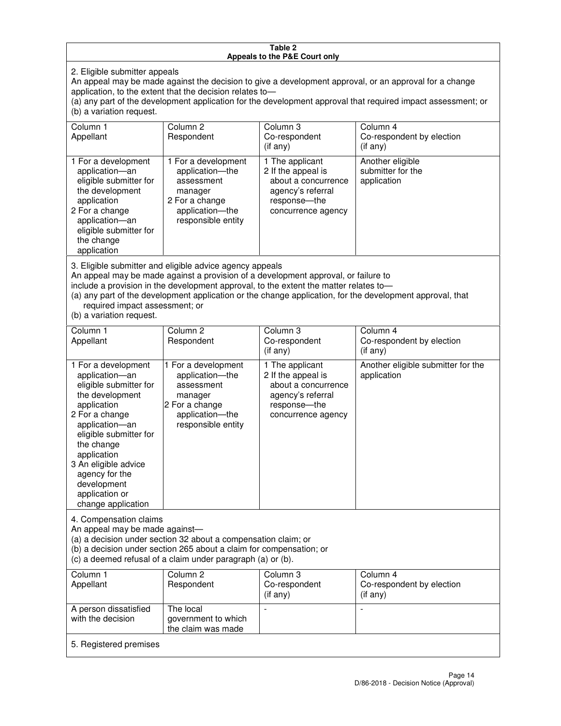#### **Table 2 Appeals to the P&E Court only**

2. Eligible submitter appeals

An appeal may be made against the decision to give a development approval, or an approval for a change application, to the extent that the decision relates to—

(a) any part of the development application for the development approval that required impact assessment; or (b) a variation request.

| Column 1<br>Appellant                                                                                                                                                                                                                                                                                                                                                                                              | Column <sub>2</sub><br>Respondent                                                                                          | Column 3<br>Co-respondent<br>(i f any)                                                                                   | Column 4<br>Co-respondent by election<br>(if any)                                                |
|--------------------------------------------------------------------------------------------------------------------------------------------------------------------------------------------------------------------------------------------------------------------------------------------------------------------------------------------------------------------------------------------------------------------|----------------------------------------------------------------------------------------------------------------------------|--------------------------------------------------------------------------------------------------------------------------|--------------------------------------------------------------------------------------------------|
| 1 For a development<br>application-an<br>eligible submitter for<br>the development<br>application<br>2 For a change<br>application-an<br>eligible submitter for<br>the change<br>application                                                                                                                                                                                                                       | 1 For a development<br>application-the<br>assessment<br>manager<br>2 For a change<br>application-the<br>responsible entity | 1 The applicant<br>2 If the appeal is<br>about a concurrence<br>agency's referral<br>response--the<br>concurrence agency | Another eligible<br>submitter for the<br>application                                             |
| 3. Eligible submitter and eligible advice agency appeals<br>An appeal may be made against a provision of a development approval, or failure to<br>include a provision in the development approval, to the extent the matter relates to-<br>(a) any part of the development application or the change application, for the development approval, that<br>required impact assessment; or<br>(b) a variation request. |                                                                                                                            |                                                                                                                          |                                                                                                  |
| Column 1<br>Appellant                                                                                                                                                                                                                                                                                                                                                                                              | Column <sub>2</sub><br>Respondent                                                                                          | Column 3<br>Co-respondent<br>$(if \cap n)$                                                                               | Column 4<br>Co-respondent by election<br>$\int$ $\int$ $\int$ $\int$ $\int$ $\int$ $\int$ $\int$ |

| <b>Appellatit</b>                                                                                                                                                                                                                                                                             | <b>HESPOHUSHI</b>                                                                                                          | <b>UU-I GSPUI IUGI II</b><br>(if any)                                                                                   | <b>OUTIESDOITUEITE DY EIECHOLI</b><br>$($ if any $)$ |
|-----------------------------------------------------------------------------------------------------------------------------------------------------------------------------------------------------------------------------------------------------------------------------------------------|----------------------------------------------------------------------------------------------------------------------------|-------------------------------------------------------------------------------------------------------------------------|------------------------------------------------------|
| 1 For a development<br>application-an<br>eligible submitter for<br>the development<br>application<br>2 For a change<br>application-an<br>eligible submitter for<br>the change<br>application<br>3 An eligible advice<br>agency for the<br>development<br>application or<br>change application | 1 For a development<br>application-the<br>assessment<br>manager<br>2 For a change<br>application—the<br>responsible entity | 1 The applicant<br>2 If the appeal is<br>about a concurrence<br>agency's referral<br>response—the<br>concurrence agency | Another eligible submitter for the<br>application    |
| 4. Compensation claims<br>An appeal may be made against-<br>(a) a decision under section 32 about a compensation claim; or                                                                                                                                                                    |                                                                                                                            |                                                                                                                         |                                                      |

(b) a decision under section 265 about a claim for compensation; or

(c) a deemed refusal of a claim under paragraph (a) or (b).

| Column 1<br>Appellant                      | Column 2<br>Respondent                                 | Column 3<br>Co-respondent<br>(if any) | Column 4<br>Co-respondent by election<br>$($ if any $)$ |
|--------------------------------------------|--------------------------------------------------------|---------------------------------------|---------------------------------------------------------|
| A person dissatisfied<br>with the decision | The local<br>government to which<br>the claim was made | -                                     |                                                         |
| 5. Registered premises                     |                                                        |                                       |                                                         |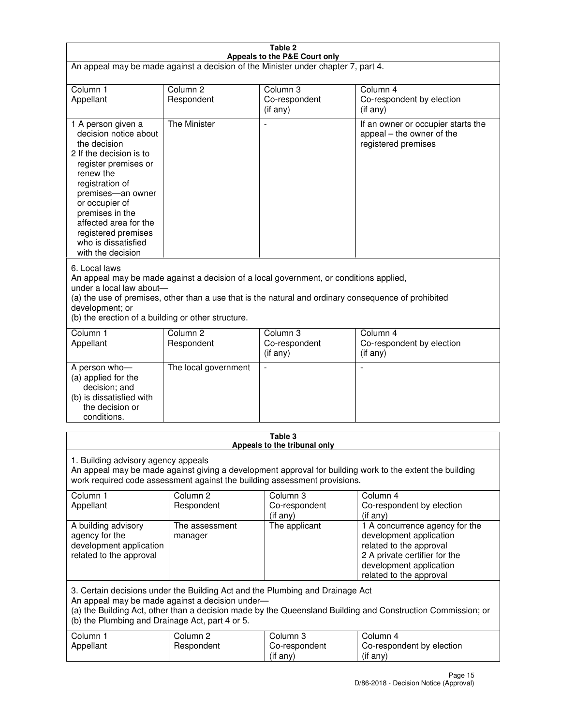| Table 2<br>Appeals to the P&E Court only                                                                                                                                                                                                                                                                             |                                   |                                                                                       |                                                                                                                                                                             |
|----------------------------------------------------------------------------------------------------------------------------------------------------------------------------------------------------------------------------------------------------------------------------------------------------------------------|-----------------------------------|---------------------------------------------------------------------------------------|-----------------------------------------------------------------------------------------------------------------------------------------------------------------------------|
| An appeal may be made against a decision of the Minister under chapter 7, part 4.                                                                                                                                                                                                                                    |                                   |                                                                                       |                                                                                                                                                                             |
|                                                                                                                                                                                                                                                                                                                      |                                   |                                                                                       |                                                                                                                                                                             |
| Column 1<br>Appellant                                                                                                                                                                                                                                                                                                | Column <sub>2</sub><br>Respondent | Column <sub>3</sub><br>Co-respondent                                                  | Column <sub>4</sub><br>Co-respondent by election                                                                                                                            |
|                                                                                                                                                                                                                                                                                                                      |                                   | $($ if any $)$                                                                        | (if any)                                                                                                                                                                    |
| 1 A person given a<br>decision notice about<br>the decision<br>2 If the decision is to<br>register premises or<br>renew the<br>registration of<br>premises-an owner<br>or occupier of<br>premises in the<br>affected area for the<br>registered premises<br>who is dissatisfied<br>with the decision                 | <b>The Minister</b>               |                                                                                       | If an owner or occupier starts the<br>appeal – the owner of the<br>registered premises                                                                                      |
| 6. Local laws<br>An appeal may be made against a decision of a local government, or conditions applied,<br>under a local law about-<br>(a) the use of premises, other than a use that is the natural and ordinary consequence of prohibited<br>development; or<br>(b) the erection of a building or other structure. |                                   |                                                                                       |                                                                                                                                                                             |
| Column 1                                                                                                                                                                                                                                                                                                             | Column <sub>2</sub>               | Column 3                                                                              | Column $\overline{4}$                                                                                                                                                       |
| Appellant                                                                                                                                                                                                                                                                                                            | Respondent                        | Co-respondent<br>(if any)                                                             | Co-respondent by election<br>(if any)                                                                                                                                       |
| A person who-<br>(a) applied for the<br>decision; and<br>(b) is dissatisfied with<br>the decision or<br>conditions.                                                                                                                                                                                                  | The local government              |                                                                                       |                                                                                                                                                                             |
|                                                                                                                                                                                                                                                                                                                      |                                   | Table 3<br>Appeals to the tribunal only                                               |                                                                                                                                                                             |
| 1. Building advisory agency appeals<br>Column 1                                                                                                                                                                                                                                                                      | Column <sub>2</sub>               | work required code assessment against the building assessment provisions.<br>Column 3 | An appeal may be made against giving a development approval for building work to the extent the building<br>Column 4                                                        |
| Appellant                                                                                                                                                                                                                                                                                                            | Respondent                        | Co-respondent<br>(if any)                                                             | Co-respondent by election<br>(if any)                                                                                                                                       |
| A building advisory<br>agency for the<br>development application<br>related to the approval                                                                                                                                                                                                                          | The assessment<br>manager         | The applicant                                                                         | 1 A concurrence agency for the<br>development application<br>related to the approval<br>2 A private certifier for the<br>development application<br>related to the approval |
| 3. Certain decisions under the Building Act and the Plumbing and Drainage Act<br>An appeal may be made against a decision under-<br>(a) the Building Act, other than a decision made by the Queensland Building and Construction Commission; or<br>(b) the Plumbing and Drainage Act, part 4 or 5.                   |                                   |                                                                                       |                                                                                                                                                                             |
| Column 1<br>Appellant                                                                                                                                                                                                                                                                                                | Column <sub>2</sub><br>Respondent | Column 3<br>Co-respondent<br>(if any)                                                 | Column 4<br>Co-respondent by election<br>(if any)                                                                                                                           |